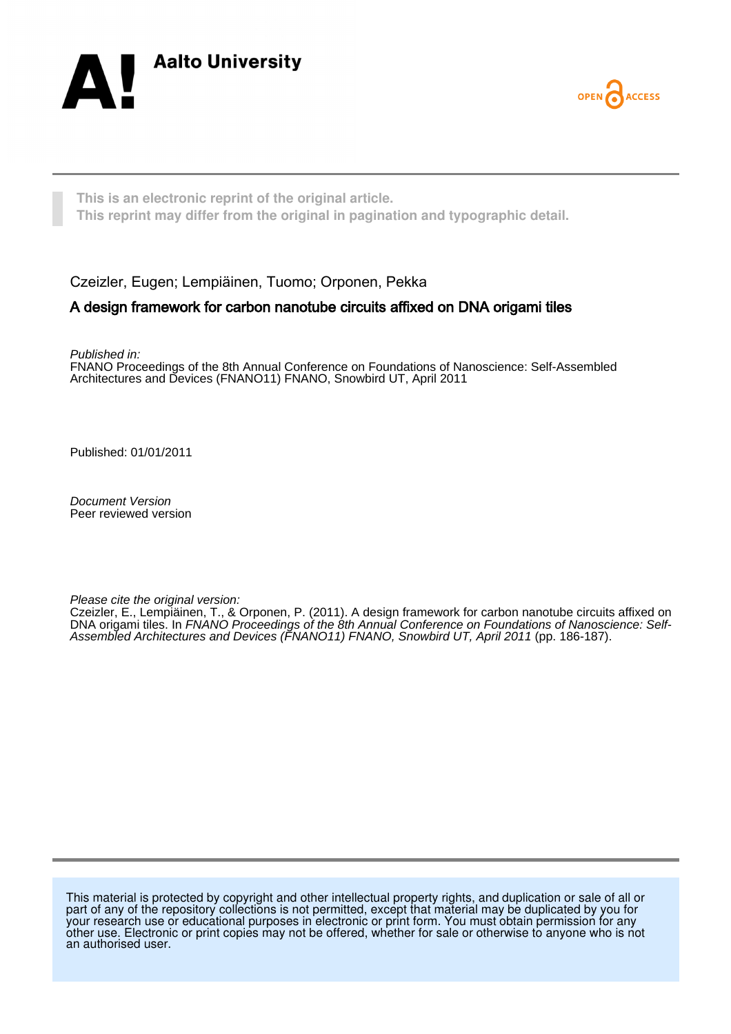



**This is an electronic reprint of the original article. This reprint may differ from the original in pagination and typographic detail.**

Czeizler, Eugen; Lempiäinen, Tuomo; Orponen, Pekka

## A design framework for carbon nanotube circuits affixed on DNA origami tiles

Published in:

FNANO Proceedings of the 8th Annual Conference on Foundations of Nanoscience: Self-Assembled Architectures and Devices (FNANO11) FNANO, Snowbird UT, April 2011

Published: 01/01/2011

Document Version Peer reviewed version

Please cite the original version:

Czeizler, E., Lempiäinen, T., & Orponen, P. (2011). A design framework for carbon nanotube circuits affixed on DNA origami tiles. In FNANO Proceedings of the 8th Annual Conference on Foundations of Nanoscience: Self-Assembled Architectures and Devices (FNANO11) FNANO, Snowbird UT, April 2011 (pp. 186-187).

This material is protected by copyright and other intellectual property rights, and duplication or sale of all or part of any of the repository collections is not permitted, except that material may be duplicated by you for your research use or educational purposes in electronic or print form. You must obtain permission for any other use. Electronic or print copies may not be offered, whether for sale or otherwise to anyone who is not an authorised user.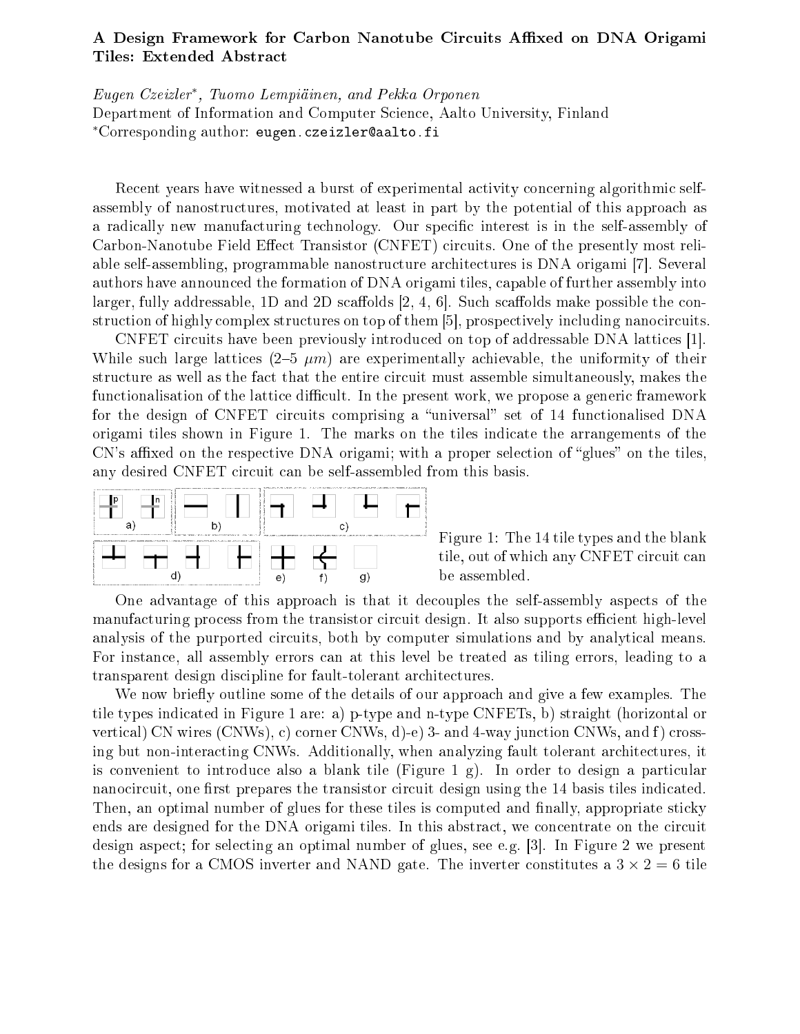## A Design Framework for Carbon Nanotube Circuits Affixed on DNA Origami Tiles: Extended Abstra
t

Eugen Czeizler<sup>∗</sup> , Tuomo Lempiäinen, and Pekka Orponen Department of Information and Computer S
ien
e, Aalto University, Finland \*Corresponding author: eugen.czeizler@aalto.fi

Recent years have witnessed a burst of experimental activity concerning algorithmic selfassembly of nanostructures, motivated at least in part by the potential of this approach as a radically new manufacturing technology. Our specific interest is in the self-assembly of Carbon-Nanotube Field Effect Transistor (CNFET) circuits. One of the presently most reliable self-assembling, programmable nanostructure architectures is DNA origami [7]. Several authors have announ
ed the formation of DNA origami tiles, apable of further assembly into larger, fully addressable, 1D and 2D scaffolds  $[2, 4, 6]$ . Such scaffolds make possible the construction of highly complex structures on top of them  $[5]$ , prospectively including nanocircuits.

CNFET circuits have been previously introduced on top of addressable DNA lattices [1]. While such large lattices  $(2-5 \mu m)$  are experimentally achievable, the uniformity of their structure as well as the fact that the entire circuit must assemble simultaneously, makes the functionalisation of the lattice difficult. In the present work, we propose a generic framework for the design of CNFET circuits comprising a "universal" set of 14 functionalised DNA origami tiles shown in Figure 1. The marks on the tiles indi
ate the arrangements of the  $CN's$  affixed on the respective DNA origami; with a proper selection of "glues" on the tiles, any desired CNFET circuit can be self-assembled from this basis.



Figure 1: The 14 tile types and the blank tile, out of which any CNFET circuit can be assembled.

One advantage of this approach is that it decouples the self-assembly aspects of the manufacturing process from the transistor circuit design. It also supports efficient high-level analysis of the purported circuits, both by computer simulations and by analytical means. For instan
e, all assembly errors an at this level be treated as tiling errors, leading to a transparent design discipline for fault-tolerant architectures.

We now briefly outline some of the details of our approach and give a few examples. The tile types indi
ated in Figure 1 are: a) p-type and n-type CNFETs, b) straight (horizontal or vertical) CN wires (CNWs), c) corner CNWs, d)-e) 3- and 4-way junction CNWs, and f) crossing but non-interacting CNWs. Additionally, when analyzing fault tolerant architectures, it is convenient to introduce also a blank tile (Figure 1 g). In order to design a particular nanocircuit, one first prepares the transistor circuit design using the 14 basis tiles indicated. Then, an optimal number of glues for these tiles is computed and finally, appropriate sticky ends are designed for the DNA origami tiles. In this abstract, we concentrate on the circuit design aspect; for selecting an optimal number of glues, see e.g. [3]. In Figure 2 we present the designs for a CMOS inverter and NAND gate. The inverter constitutes a  $3 \times 2 = 6$  tile